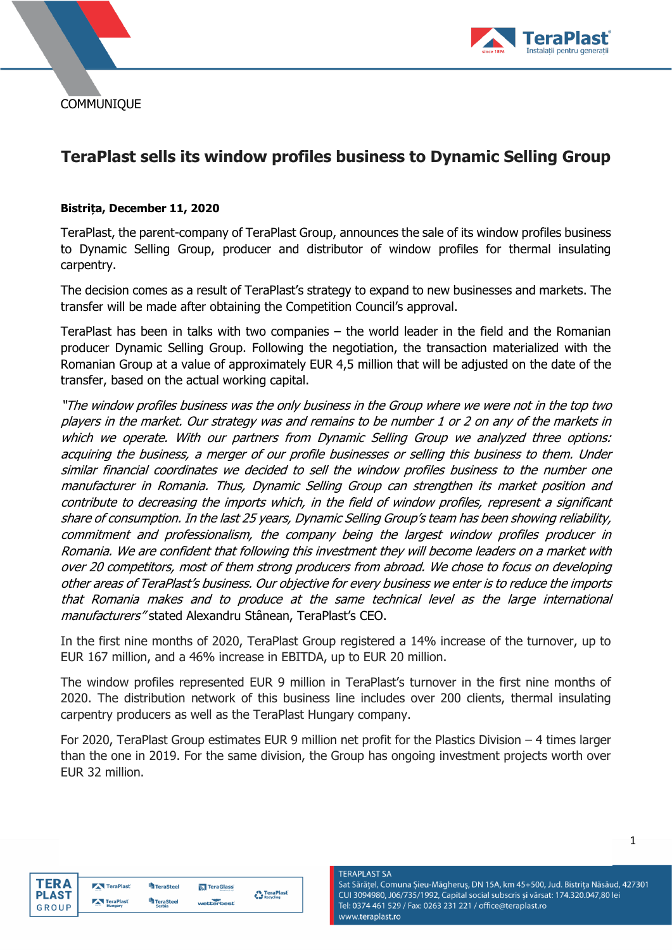**COMMUNIQUE** 



# **TeraPlast sells its window profiles business to Dynamic Selling Group**

#### **Bistrița, December 11, 2020**

TeraPlast, the parent-company of TeraPlast Group, announces the sale of its window profiles business to Dynamic Selling Group, producer and distributor of window profiles for thermal insulating carpentry.

The decision comes as a result of TeraPlast's strategy to expand to new businesses and markets. The transfer will be made after obtaining the Competition Council's approval.

TeraPlast has been in talks with two companies – the world leader in the field and the Romanian producer Dynamic Selling Group. Following the negotiation, the transaction materialized with the Romanian Group at a value of approximately EUR 4,5 million that will be adjusted on the date of the transfer, based on the actual working capital.

"The window profiles business was the only business in the Group where we were not in the top two players in the market. Our strategy was and remains to be number 1 or 2 on any of the markets in which we operate. With our partners from Dynamic Selling Group we analyzed three options: acquiring the business, a merger of our profile businesses or selling this business to them. Under similar financial coordinates we decided to sell the window profiles business to the number one manufacturer in Romania. Thus, Dynamic Selling Group can strengthen its market position and contribute to decreasing the imports which, in the field of window profiles, represent a significant share of consumption. In the last 25 years, Dynamic Selling Group's team has been showing reliability, commitment and professionalism, the company being the largest window profiles producer in Romania. We are confident that following this investment they will become leaders on a market with over 20 competitors, most of them strong producers from abroad. We chose to focus on developing other areas of TeraPlast's business. Our objective for every business we enter is to reduce the imports that Romania makes and to produce at the same technical level as the large international manufacturers" stated Alexandru Stânean, TeraPlast's CEO.

In the first nine months of 2020, TeraPlast Group registered a 14% increase of the turnover, up to EUR 167 million, and a 46% increase in EBITDA, up to EUR 20 million.

The window profiles represented EUR 9 million in TeraPlast's turnover in the first nine months of 2020. The distribution network of this business line includes over 200 clients, thermal insulating carpentry producers as well as the TeraPlast Hungary company.

For 2020, TeraPlast Group estimates EUR 9 million net profit for the Plastics Division – 4 times larger than the one in 2019. For the same division, the Group has ongoing investment projects worth over EUR 32 million.



| TeraPlast | TeraSteel | <b>N</b> TeraGlass | TeraPlast<br>Recycling |
|-----------|-----------|--------------------|------------------------|
| TeraPlast | TeraSteel | wetterbest         |                        |

**TERAPLAST SA** Sat Sărățel, Comuna Șieu-Măgheruș, DN 15A, km 45+500, Jud. Bistrița Năsăud, 427301 CUI 3094980, J06/735/1992, Capital social subscris și vărsat: 174.320.047,80 lei Tel: 0374 461 529 / Fax: 0263 231 221 / office@teraplast.ro www.teraplast.ro